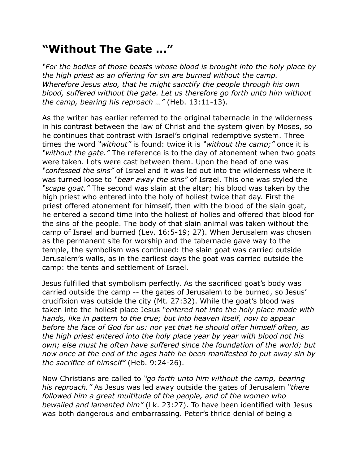## **"Without The Gate …"**

*"For the bodies of those beasts whose blood is brought into the holy place by the high priest as an offering for sin are burned without the camp. Wherefore Jesus also, that he might sanctify the people through his own blood, suffered without the gate. Let us therefore go forth unto him without the camp, bearing his reproach …"* (Heb. 13:11-13).

As the writer has earlier referred to the original tabernacle in the wilderness in his contrast between the law of Christ and the system given by Moses, so he continues that contrast with Israel's original redemptive system. Three times the word *"without"* is found: twice it is *"without the camp;"* once it is *"without the gate."* The reference is to the day of atonement when two goats were taken. Lots were cast between them. Upon the head of one was *"confessed the sins"* of Israel and it was led out into the wilderness where it was turned loose to *"bear away the sins"* of Israel. This one was styled the *"scape goat."* The second was slain at the altar; his blood was taken by the high priest who entered into the holy of holiest twice that day. First the priest offered atonement for himself, then with the blood of the slain goat, he entered a second time into the holiest of holies and offered that blood for the sins of the people. The body of that slain animal was taken without the camp of Israel and burned (Lev. 16:5-19; 27). When Jerusalem was chosen as the permanent site for worship and the tabernacle gave way to the temple, the symbolism was continued: the slain goat was carried outside Jerusalem's walls, as in the earliest days the goat was carried outside the camp: the tents and settlement of Israel.

Jesus fulfilled that symbolism perfectly. As the sacrificed goat's body was carried outside the camp -- the gates of Jerusalem to be burned, so Jesus' crucifixion was outside the city (Mt. 27:32). While the goat's blood was taken into the holiest place Jesus *"entered not into the holy place made with hands, like in pattern to the true; but into heaven itself, now to appear before the face of God for us: nor yet that he should offer himself often, as the high priest entered into the holy place year by year with blood not his own; else must he often have suffered since the foundation of the world; but now once at the end of the ages hath he been manifested to put away sin by the sacrifice of himself"* (Heb. 9:24-26).

Now Christians are called to *"go forth unto him without the camp, bearing his reproach."* As Jesus was led away outside the gates of Jerusalem *"there followed him a great multitude of the people, and of the women who bewailed and lamented him"* (Lk. 23:27). To have been identified with Jesus was both dangerous and embarrassing. Peter's thrice denial of being a